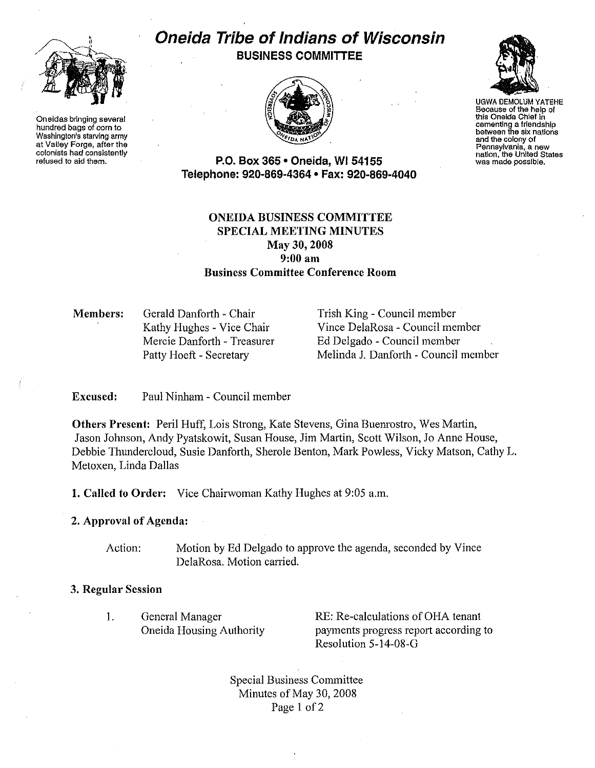

Oneidas bringing several hundred bags of corn to Washington's starving army at Valley Forge, after the colonists had consistently refused to aid them.

# Oneida Tribe of Indians of Wisconsin BUSINESS COMMITTEE





UGWA DEMOLUM YATEHE Because of the help of this Oneida Chief in cementing a friendship between the six nations and the colony of<br>Pennsylvania, a new Pennsylvania, a new nation, the United States was made possible.

P.O. Box 365 • Oneida, WI 54155 Telephone: 920-869-4364 • Fax: 920-869-4040

# ONEIDA BUSINESS COMMITTEE SPECIAL MEETING MINUTES May 30,2008 9:00am Business Committee Conference Room

Members: Gerald Danforth - Chair Kathy Hughes - Vice Chair Mercie Danforth - Treasurer Patty Hoeft - Secretary

Trish King - Council member Vince DelaRosa- Council member Ed Delgado - Council member Melinda J. Danforth - Council member

Excused: Paul Ninham - Council member

Others Present: Peril Huff, Lois Strong, Kate Stevens, Gina Buemostro, Wes Martin, Jason Johnson, Andy Pyatskowit, Susan House, Jim Martin, Scott Wilson, Jo Anne House, Debbie Thundercloud, Susie Danforth, Sherole Benton, Mark Powless, Vicky Matson, Cathy L. Metoxen, Linda Dallas

1. Called to Order: Vice Chairwoman Kathy Hughes at 9:05a.m.

# 2. Approval of Agenda:

Action: Motion by Ed Delgado to approve the agenda, seconded by Vince DelaRosa. Motion carried.

## 3. Regular Session

I. General Manager Oneida Housing Authority RE: Re-calculations of OHA tenant payments progress report according to Resolution 5-14-08-G

Special Business Committee Minutes of May 30, 2008 Page 1 of 2